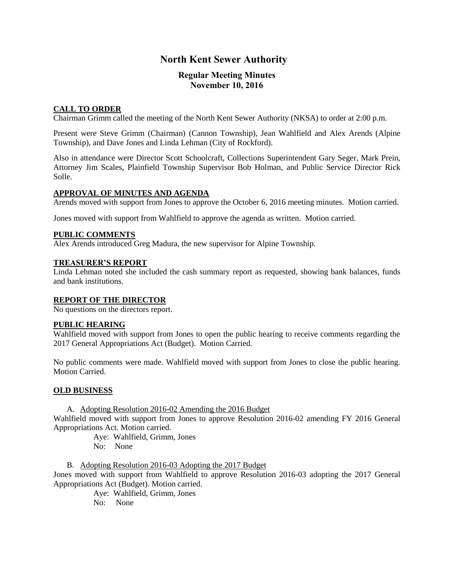# **North Kent Sewer Authority**

## **Regular Meeting Minutes November 10, 2016**

## **CALL TO ORDER**

Chairman Grimm called the meeting of the North Kent Sewer Authority (NKSA) to order at 2:00 p.m.

Present were Steve Grimm (Chairman) (Cannon Township), Jean Wahlfield and Alex Arends (Alpine Township), and Dave Jones and Linda Lehman (City of Rockford).

Also in attendance were Director Scott Schoolcraft, Collections Superintendent Gary Seger, Mark Prein, Attorney Jim Scales, Plainfield Township Supervisor Bob Holman, and Public Service Director Rick Solle.

### **APPROVAL OF MINUTES AND AGENDA**

Arends moved with support from Jones to approve the October 6, 2016 meeting minutes. Motion carried.

Jones moved with support from Wahlfield to approve the agenda as written. Motion carried.

#### **PUBLIC COMMENTS**

Alex Arends introduced Greg Madura, the new supervisor for Alpine Township.

#### **TREASURER'S REPORT**

Linda Lehman noted she included the cash summary report as requested, showing bank balances, funds and bank institutions.

#### **REPORT OF THE DIRECTOR**

No questions on the directors report.

#### **PUBLIC HEARING**

Wahlfield moved with support from Jones to open the public hearing to receive comments regarding the 2017 General Appropriations Act (Budget). Motion Carried.

No public comments were made. Wahlfield moved with support from Jones to close the public hearing. Motion Carried.

#### **OLD BUSINESS**

A. Adopting Resolution 2016-02 Amending the 2016 Budget Wahlfield moved with support from Jones to approve Resolution 2016-02 amending FY 2016 General

Appropriations Act. Motion carried.

Aye: Wahlfield, Grimm, Jones No: None

B. Adopting Resolution 2016-03 Adopting the 2017 Budget Jones moved with support from Wahlfield to approve Resolution 2016-03 adopting the 2017 General Appropriations Act (Budget). Motion carried.

Aye: Wahlfield, Grimm, Jones No: None